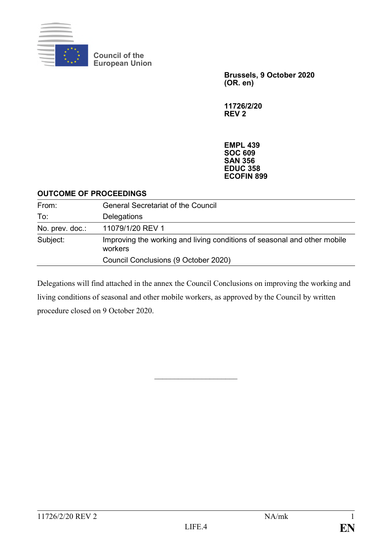

**Council of the European Union**

> **Brussels, 9 October 2020 (OR. en)**

**11726/2/20 REV 2**

**EMPL 439 SOC 609 SAN 356 EDUC 358 ECOFIN 899**

#### **OUTCOME OF PROCEEDINGS**

| From:           | <b>General Secretariat of the Council</b>                                           |
|-----------------|-------------------------------------------------------------------------------------|
| To:             | <b>Delegations</b>                                                                  |
| No. prev. doc.: | 11079/1/20 REV 1                                                                    |
| Subject:        | Improving the working and living conditions of seasonal and other mobile<br>workers |
|                 | Council Conclusions (9 October 2020)                                                |

Delegations will find attached in the annex the Council Conclusions on improving the working and living conditions of seasonal and other mobile workers, as approved by the Council by written procedure closed on 9 October 2020.

 $\mathcal{L}_\text{max}$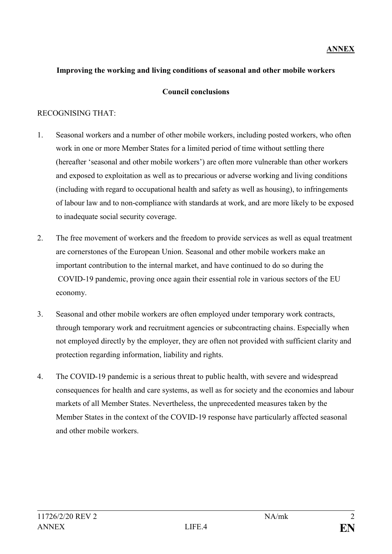#### **Improving the working and living conditions of seasonal and other mobile workers**

#### **Council conclusions**

#### RECOGNISING THAT:

- 1. Seasonal workers and a number of other mobile workers, including posted workers, who often work in one or more Member States for a limited period of time without settling there (hereafter 'seasonal and other mobile workers') are often more vulnerable than other workers and exposed to exploitation as well as to precarious or adverse working and living conditions (including with regard to occupational health and safety as well as housing), to infringements of labour law and to non-compliance with standards at work, and are more likely to be exposed to inadequate social security coverage.
- 2. The free movement of workers and the freedom to provide services as well as equal treatment are cornerstones of the European Union. Seasonal and other mobile workers make an important contribution to the internal market, and have continued to do so during the COVID-19 pandemic, proving once again their essential role in various sectors of the EU economy.
- 3. Seasonal and other mobile workers are often employed under temporary work contracts, through temporary work and recruitment agencies or subcontracting chains. Especially when not employed directly by the employer, they are often not provided with sufficient clarity and protection regarding information, liability and rights.
- 4. The COVID-19 pandemic is a serious threat to public health, with severe and widespread consequences for health and care systems, as well as for society and the economies and labour markets of all Member States. Nevertheless, the unprecedented measures taken by the Member States in the context of the COVID-19 response have particularly affected seasonal and other mobile workers.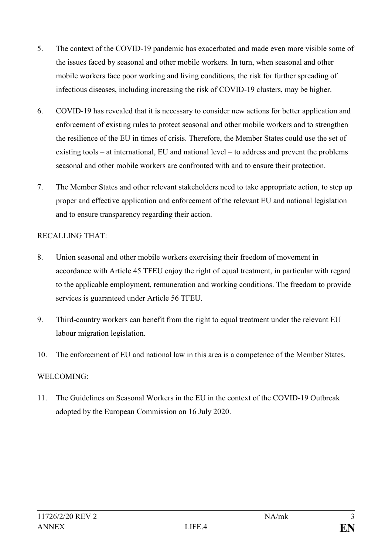- 5. The context of the COVID-19 pandemic has exacerbated and made even more visible some of the issues faced by seasonal and other mobile workers. In turn, when seasonal and other mobile workers face poor working and living conditions, the risk for further spreading of infectious diseases, including increasing the risk of COVID-19 clusters, may be higher.
- 6. COVID-19 has revealed that it is necessary to consider new actions for better application and enforcement of existing rules to protect seasonal and other mobile workers and to strengthen the resilience of the EU in times of crisis. Therefore, the Member States could use the set of existing tools – at international, EU and national level – to address and prevent the problems seasonal and other mobile workers are confronted with and to ensure their protection.
- 7. The Member States and other relevant stakeholders need to take appropriate action, to step up proper and effective application and enforcement of the relevant EU and national legislation and to ensure transparency regarding their action.

#### RECALLING THAT:

- 8. Union seasonal and other mobile workers exercising their freedom of movement in accordance with Article 45 TFEU enjoy the right of equal treatment, in particular with regard to the applicable employment, remuneration and working conditions. The freedom to provide services is guaranteed under Article 56 TFEU.
- 9. Third-country workers can benefit from the right to equal treatment under the relevant EU labour migration legislation.
- 10. The enforcement of EU and national law in this area is a competence of the Member States.

# WELCOMING:

11. The Guidelines on Seasonal Workers in the EU in the context of the COVID-19 Outbreak adopted by the European Commission on 16 July 2020.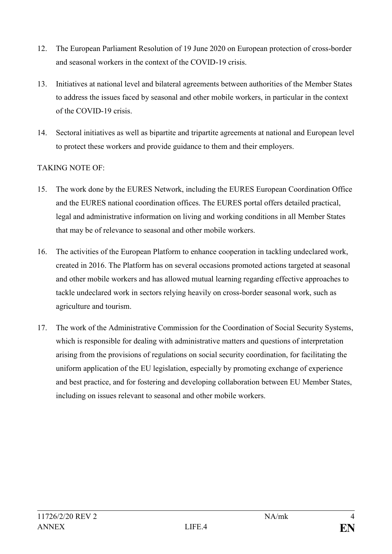- 12. The European Parliament Resolution of 19 June 2020 on European protection of cross-border and seasonal workers in the context of the COVID-19 crisis.
- 13. Initiatives at national level and bilateral agreements between authorities of the Member States to address the issues faced by seasonal and other mobile workers, in particular in the context of the COVID-19 crisis.
- 14. Sectoral initiatives as well as bipartite and tripartite agreements at national and European level to protect these workers and provide guidance to them and their employers.

# TAKING NOTE OF:

- 15. The work done by the EURES Network, including the EURES European Coordination Office and the EURES national coordination offices. The EURES portal offers detailed practical, legal and administrative information on living and working conditions in all Member States that may be of relevance to seasonal and other mobile workers.
- 16. The activities of the European Platform to enhance cooperation in tackling undeclared work, created in 2016. The Platform has on several occasions promoted actions targeted at seasonal and other mobile workers and has allowed mutual learning regarding effective approaches to tackle undeclared work in sectors relying heavily on cross-border seasonal work, such as agriculture and tourism.
- 17. The work of the Administrative Commission for the Coordination of Social Security Systems, which is responsible for dealing with administrative matters and questions of interpretation arising from the provisions of regulations on social security coordination, for facilitating the uniform application of the EU legislation, especially by promoting exchange of experience and best practice, and for fostering and developing collaboration between EU Member States, including on issues relevant to seasonal and other mobile workers.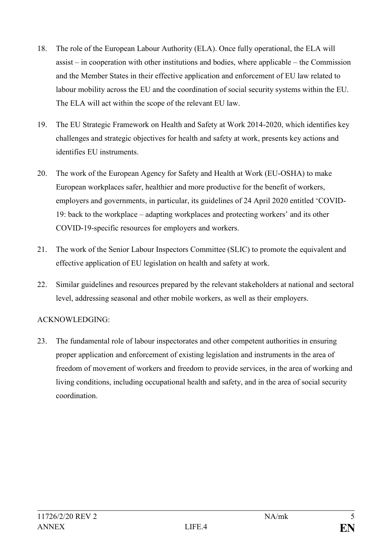- 18. The role of the European Labour Authority (ELA). Once fully operational, the ELA will assist – in cooperation with other institutions and bodies, where applicable – the Commission and the Member States in their effective application and enforcement of EU law related to labour mobility across the EU and the coordination of social security systems within the EU. The ELA will act within the scope of the relevant EU law.
- 19. The EU Strategic Framework on Health and Safety at Work 2014-2020, which identifies key challenges and strategic objectives for health and safety at work, presents key actions and identifies EU instruments.
- 20. The work of the European Agency for Safety and Health at Work (EU-OSHA) to make European workplaces safer, healthier and more productive for the benefit of workers, employers and governments, in particular, its guidelines of 24 April 2020 entitled 'COVID-19: back to the workplace – adapting workplaces and protecting workers' and its other COVID-19-specific resources for employers and workers.
- 21. The work of the Senior Labour Inspectors Committee (SLIC) to promote the equivalent and effective application of EU legislation on health and safety at work.
- 22. Similar guidelines and resources prepared by the relevant stakeholders at national and sectoral level, addressing seasonal and other mobile workers, as well as their employers.

# ACKNOWLEDGING:

23. The fundamental role of labour inspectorates and other competent authorities in ensuring proper application and enforcement of existing legislation and instruments in the area of freedom of movement of workers and freedom to provide services, in the area of working and living conditions, including occupational health and safety, and in the area of social security coordination.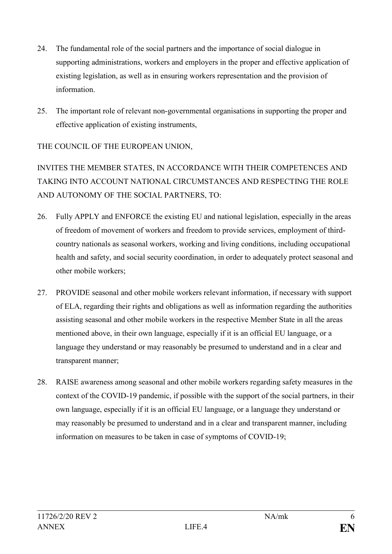- 24. The fundamental role of the social partners and the importance of social dialogue in supporting administrations, workers and employers in the proper and effective application of existing legislation, as well as in ensuring workers representation and the provision of information.
- 25. The important role of relevant non-governmental organisations in supporting the proper and effective application of existing instruments,

THE COUNCIL OF THE EUROPEAN UNION,

INVITES THE MEMBER STATES, IN ACCORDANCE WITH THEIR COMPETENCES AND TAKING INTO ACCOUNT NATIONAL CIRCUMSTANCES AND RESPECTING THE ROLE AND AUTONOMY OF THE SOCIAL PARTNERS, TO:

- 26. Fully APPLY and ENFORCE the existing EU and national legislation, especially in the areas of freedom of movement of workers and freedom to provide services, employment of thirdcountry nationals as seasonal workers, working and living conditions, including occupational health and safety, and social security coordination, in order to adequately protect seasonal and other mobile workers;
- 27. PROVIDE seasonal and other mobile workers relevant information, if necessary with support of ELA, regarding their rights and obligations as well as information regarding the authorities assisting seasonal and other mobile workers in the respective Member State in all the areas mentioned above, in their own language, especially if it is an official EU language, or a language they understand or may reasonably be presumed to understand and in a clear and transparent manner;
- 28. RAISE awareness among seasonal and other mobile workers regarding safety measures in the context of the COVID-19 pandemic, if possible with the support of the social partners, in their own language, especially if it is an official EU language, or a language they understand or may reasonably be presumed to understand and in a clear and transparent manner, including information on measures to be taken in case of symptoms of COVID-19;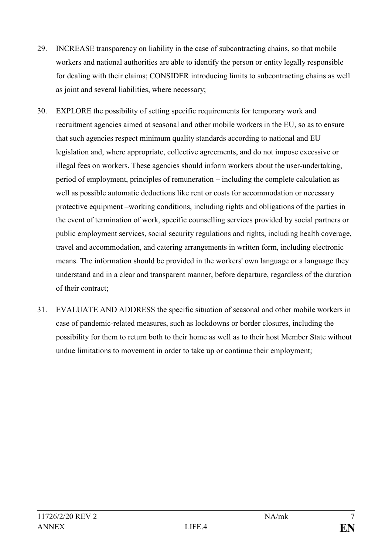- 29. INCREASE transparency on liability in the case of subcontracting chains, so that mobile workers and national authorities are able to identify the person or entity legally responsible for dealing with their claims; CONSIDER introducing limits to subcontracting chains as well as joint and several liabilities, where necessary;
- 30. EXPLORE the possibility of setting specific requirements for temporary work and recruitment agencies aimed at seasonal and other mobile workers in the EU, so as to ensure that such agencies respect minimum quality standards according to national and EU legislation and, where appropriate, collective agreements, and do not impose excessive or illegal fees on workers. These agencies should inform workers about the user-undertaking, period of employment, principles of remuneration – including the complete calculation as well as possible automatic deductions like rent or costs for accommodation or necessary protective equipment –working conditions, including rights and obligations of the parties in the event of termination of work, specific counselling services provided by social partners or public employment services, social security regulations and rights, including health coverage, travel and accommodation, and catering arrangements in written form, including electronic means. The information should be provided in the workers' own language or a language they understand and in a clear and transparent manner, before departure, regardless of the duration of their contract;
- 31. EVALUATE AND ADDRESS the specific situation of seasonal and other mobile workers in case of pandemic-related measures, such as lockdowns or border closures, including the possibility for them to return both to their home as well as to their host Member State without undue limitations to movement in order to take up or continue their employment;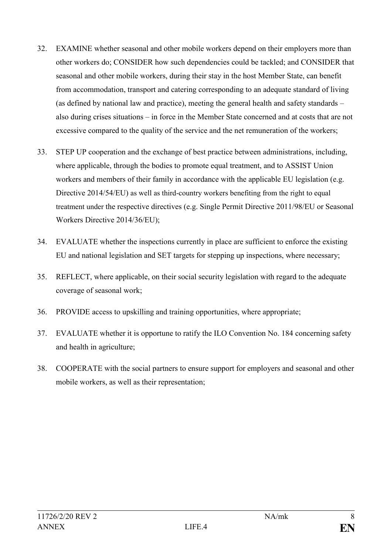- 32. EXAMINE whether seasonal and other mobile workers depend on their employers more than other workers do; CONSIDER how such dependencies could be tackled; and CONSIDER that seasonal and other mobile workers, during their stay in the host Member State, can benefit from accommodation, transport and catering corresponding to an adequate standard of living (as defined by national law and practice), meeting the general health and safety standards – also during crises situations – in force in the Member State concerned and at costs that are not excessive compared to the quality of the service and the net remuneration of the workers;
- 33. STEP UP cooperation and the exchange of best practice between administrations, including, where applicable, through the bodies to promote equal treatment, and to ASSIST Union workers and members of their family in accordance with the applicable EU legislation (e.g. Directive 2014/54/EU) as well as third-country workers benefiting from the right to equal treatment under the respective directives (e.g. Single Permit Directive 2011/98/EU or Seasonal Workers Directive 2014/36/EU);
- 34. EVALUATE whether the inspections currently in place are sufficient to enforce the existing EU and national legislation and SET targets for stepping up inspections, where necessary;
- 35. REFLECT, where applicable, on their social security legislation with regard to the adequate coverage of seasonal work;
- 36. PROVIDE access to upskilling and training opportunities, where appropriate;
- 37. EVALUATE whether it is opportune to ratify the ILO Convention No. 184 concerning safety and health in agriculture;
- 38. COOPERATE with the social partners to ensure support for employers and seasonal and other mobile workers, as well as their representation;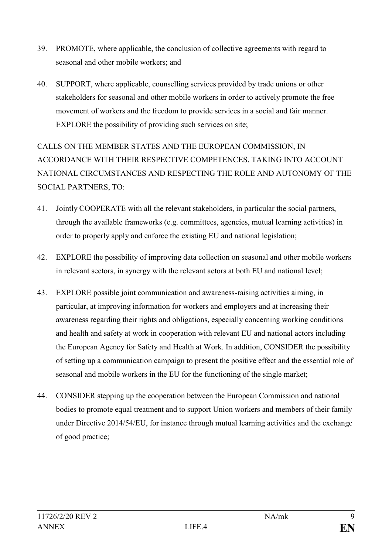- 39. PROMOTE, where applicable, the conclusion of collective agreements with regard to seasonal and other mobile workers; and
- 40. SUPPORT, where applicable, counselling services provided by trade unions or other stakeholders for seasonal and other mobile workers in order to actively promote the free movement of workers and the freedom to provide services in a social and fair manner. EXPLORE the possibility of providing such services on site;

CALLS ON THE MEMBER STATES AND THE EUROPEAN COMMISSION, IN ACCORDANCE WITH THEIR RESPECTIVE COMPETENCES, TAKING INTO ACCOUNT NATIONAL CIRCUMSTANCES AND RESPECTING THE ROLE AND AUTONOMY OF THE SOCIAL PARTNERS, TO:

- 41. Jointly COOPERATE with all the relevant stakeholders, in particular the social partners, through the available frameworks (e.g. committees, agencies, mutual learning activities) in order to properly apply and enforce the existing EU and national legislation;
- 42. EXPLORE the possibility of improving data collection on seasonal and other mobile workers in relevant sectors, in synergy with the relevant actors at both EU and national level;
- 43. EXPLORE possible joint communication and awareness-raising activities aiming, in particular, at improving information for workers and employers and at increasing their awareness regarding their rights and obligations, especially concerning working conditions and health and safety at work in cooperation with relevant EU and national actors including the European Agency for Safety and Health at Work. In addition, CONSIDER the possibility of setting up a communication campaign to present the positive effect and the essential role of seasonal and mobile workers in the EU for the functioning of the single market;
- 44. CONSIDER stepping up the cooperation between the European Commission and national bodies to promote equal treatment and to support Union workers and members of their family under Directive 2014/54/EU, for instance through mutual learning activities and the exchange of good practice;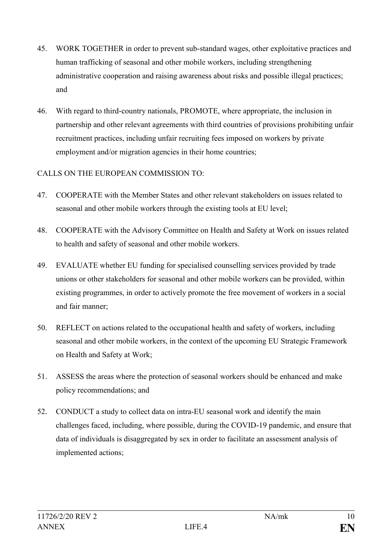- 45. WORK TOGETHER in order to prevent sub-standard wages, other exploitative practices and human trafficking of seasonal and other mobile workers, including strengthening administrative cooperation and raising awareness about risks and possible illegal practices; and
- 46. With regard to third-country nationals, PROMOTE, where appropriate, the inclusion in partnership and other relevant agreements with third countries of provisions prohibiting unfair recruitment practices, including unfair recruiting fees imposed on workers by private employment and/or migration agencies in their home countries;

# CALLS ON THE EUROPEAN COMMISSION TO:

- 47. COOPERATE with the Member States and other relevant stakeholders on issues related to seasonal and other mobile workers through the existing tools at EU level;
- 48. COOPERATE with the Advisory Committee on Health and Safety at Work on issues related to health and safety of seasonal and other mobile workers.
- 49. EVALUATE whether EU funding for specialised counselling services provided by trade unions or other stakeholders for seasonal and other mobile workers can be provided, within existing programmes, in order to actively promote the free movement of workers in a social and fair manner;
- 50. REFLECT on actions related to the occupational health and safety of workers, including seasonal and other mobile workers, in the context of the upcoming EU Strategic Framework on Health and Safety at Work;
- 51. ASSESS the areas where the protection of seasonal workers should be enhanced and make policy recommendations; and
- 52. CONDUCT a study to collect data on intra-EU seasonal work and identify the main challenges faced, including, where possible, during the COVID-19 pandemic, and ensure that data of individuals is disaggregated by sex in order to facilitate an assessment analysis of implemented actions;